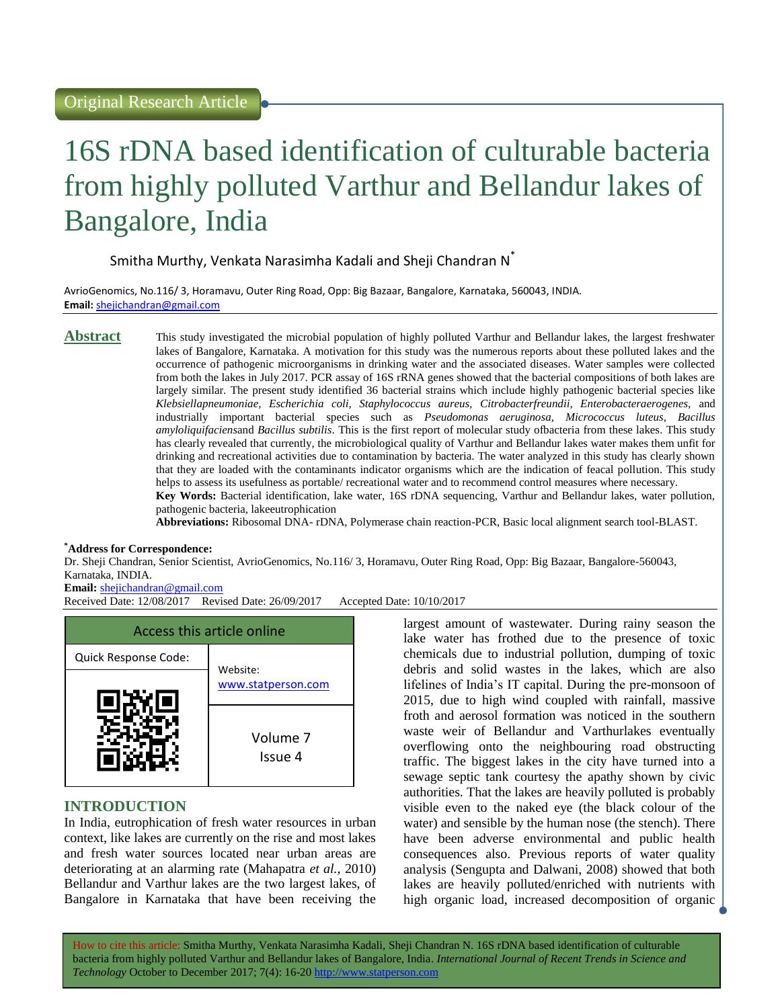# 16S rDNA based identification of culturable bacteria from highly polluted Varthur and Bellandur lakes of Bangalore, India

### Smitha Murthy, Venkata Narasimha Kadali and Sheji Chandran N<sup>\*</sup>

AvrioGenomics, No.116/ 3, Horamavu, Outer Ring Road, Opp: Big Bazaar, Bangalore, Karnataka, 560043, INDIA. **Email:** <shejichandran@gmail.com>

Abstract This study investigated the microbial population of highly polluted Varthur and Bellandur lakes, the largest freshwater lakes of Bangalore, Karnataka. A motivation for this study was the numerous reports about these polluted lakes and the occurrence of pathogenic microorganisms in drinking water and the associated diseases. Water samples were collected from both the lakes in July 2017. PCR assay of 16S rRNA genes showed that the bacterial compositions of both lakes are largely similar. The present study identified 36 bacterial strains which include highly pathogenic bacterial species like *Klebsiellapneumoniae, Escherichia coli, Staphylococcus aureus, Citrobacterfreundii, Enterobacteraerogenes,* and industrially important bacterial species such as *Pseudomonas aeruginosa, Micrococcus luteus, Bacillus amyloliquifaciens*and *Bacillus subtilis*. This is the first report of molecular study ofbacteria from these lakes. This study has clearly revealed that currently, the microbiological quality of Varthur and Bellandur lakes water makes them unfit for drinking and recreational activities due to contamination by bacteria. The water analyzed in this study has clearly shown that they are loaded with the contaminants indicator organisms which are the indication of feacal pollution. This study helps to assess its usefulness as portable/ recreational water and to recommend control measures where necessary. **Key Words:** Bacterial identification, lake water, 16S rDNA sequencing, Varthur and Bellandur lakes, water pollution,

pathogenic bacteria, lakeeutrophication

**Abbreviations:** Ribosomal DNA- rDNA, Polymerase chain reaction-PCR, Basic local alignment search tool-BLAST.

#### **\*Address for Correspondence:**

Dr. Sheji Chandran, Senior Scientist, AvrioGenomics, No.116/ 3, Horamavu, Outer Ring Road, Opp: Big Bazaar, Bangalore-560043, Karnataka, INDIA.

#### **Email:** <shejichandran@gmail.com>

Received Date: 12/08/2017 Revised Date: 26/09/2017 Accepted Date: 10/10/2017



# **INTRODUCTION**

In India, eutrophication of fresh water resources in urban context, like lakes are currently on the rise and most lakes and fresh water sources located near urban areas are deteriorating at an alarming rate (Mahapatra *et al.*, 2010) Bellandur and Varthur lakes are the two largest lakes, of Bangalore in Karnataka that have been receiving the

largest amount of wastewater. During rainy season the lake water has frothed due to the presence of toxic chemicals due to industrial pollution, dumping of toxic debris and solid wastes in the lakes, which are also lifelines of India's IT capital. During the pre-monsoon of 2015, due to high wind coupled with rainfall, massive froth and aerosol formation was noticed in the southern waste weir of Bellandur and Varthurlakes eventually overflowing onto the neighbouring road obstructing traffic. The biggest lakes in the city have turned into a sewage septic tank courtesy the apathy shown by civic authorities. That the lakes are heavily polluted is probably visible even to the naked eye (the black colour of the water) and sensible by the human nose (the stench). There have been adverse environmental and public health consequences also. Previous reports of water quality analysis (Sengupta and Dalwani, 2008) showed that both lakes are heavily polluted/enriched with nutrients with high organic load, increased decomposition of organic

How to cite this article: Smitha Murthy, Venkata Narasimha Kadali, Sheji Chandran N*.* 16S rDNA based identification of culturable bacteria from highly polluted Varthur and Bellandur lakes of Bangalore, India. *International Journal of Recent Trends in Science and Technology* October to December 2017; 7(4): 16-20 http://www.statperson.com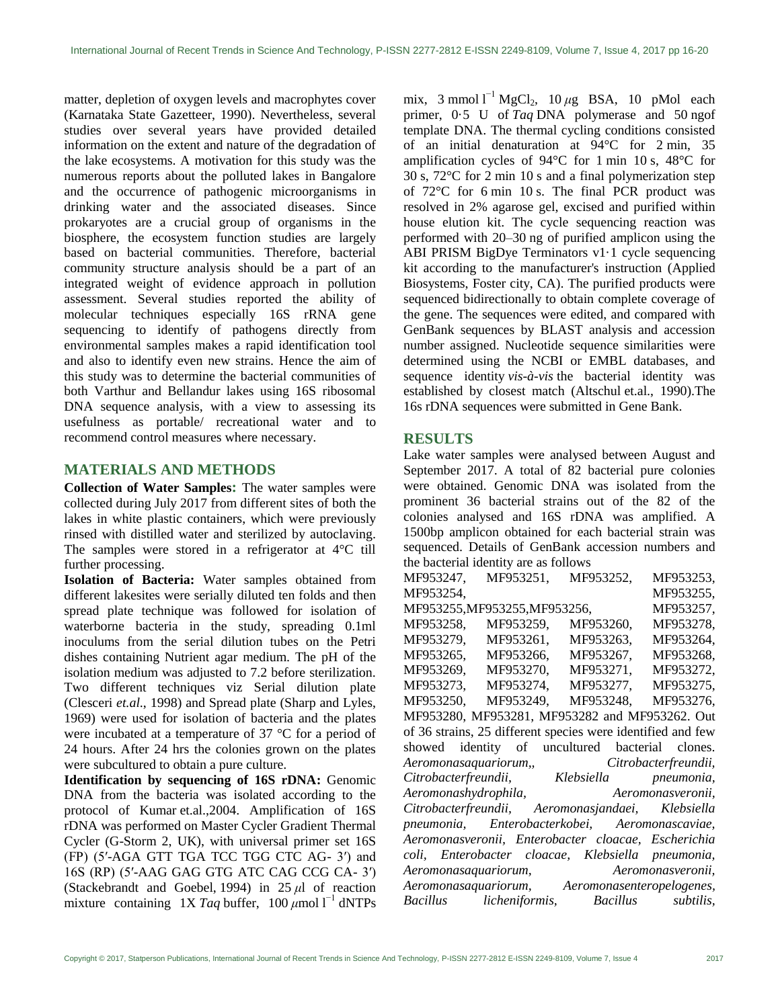matter, depletion of oxygen levels and macrophytes cover (Karnataka State Gazetteer, 1990). Nevertheless, several studies over several years have provided detailed information on the extent and nature of the degradation of the lake ecosystems. A motivation for this study was the numerous reports about the polluted lakes in Bangalore and the occurrence of pathogenic microorganisms in drinking water and the associated diseases. Since prokaryotes are a crucial group of organisms in the biosphere, the ecosystem function studies are largely based on bacterial communities. Therefore, bacterial community structure analysis should be a part of an integrated weight of evidence approach in pollution assessment. Several studies reported the ability of molecular techniques especially 16S rRNA gene sequencing to identify of pathogens directly from environmental samples makes a rapid identification tool and also to identify even new strains. Hence the aim of this study was to determine the bacterial communities of both Varthur and Bellandur lakes using 16S ribosomal DNA sequence analysis, with a view to assessing its usefulness as portable/ recreational water and to recommend control measures where necessary.

# **MATERIALS AND METHODS**

**Collection of Water Samples:** The water samples were collected during July 2017 from different sites of both the lakes in white plastic containers, which were previously rinsed with distilled water and sterilized by autoclaving. The samples were stored in a refrigerator at 4°C till further processing.

**Isolation of Bacteria:** Water samples obtained from different lakesites were serially diluted ten folds and then spread plate technique was followed for isolation of waterborne bacteria in the study, spreading 0.1ml inoculums from the serial dilution tubes on the Petri dishes containing Nutrient agar medium. The pH of the isolation medium was adjusted to 7.2 before sterilization. Two different techniques viz Serial dilution plate (Clesceri *et.al*., 1998) and Spread plate (Sharp and Lyles, 1969) were used for isolation of bacteria and the plates were incubated at a temperature of 37 °C for a period of 24 hours. After 24 hrs the colonies grown on the plates were subcultured to obtain a pure culture.

**Identification by sequencing of 16S rDNA:** Genomic DNA from the bacteria was isolated according to the protocol of Kumar et.al.[,2004.](http://onlinelibrary.wiley.com/doi/10.1111/jam.12431/full#jam12431-bib-0017) Amplification of 16S rDNA was performed on Master Cycler Gradient Thermal Cycler (G-Storm 2, UK), with universal primer set 16S (FP) (5′-AGA GTT TGA TCC TGG CTC AG- 3′) and 16S (RP) (5′-AAG GAG GTG ATC CAG CCG CA- 3′) (Stackebrandt and Goebel, [1994\)](http://onlinelibrary.wiley.com/doi/10.1111/jam.12431/full#jam12431-bib-0033) in 25 *μ*l of reaction mixture containing  $1X$  *Taq* buffer,  $100 \mu$  mol  $1^{-1}$  dNTPs

mix,  $3 \text{ mmol } l^{-1} \text{ MgCl}_2$ ,  $10 \mu g$  BSA,  $10 \text{ pMol}$  each primer, 0·5 U of *Taq* DNA polymerase and 50 ngof template DNA. The thermal cycling conditions consisted of an initial denaturation at 94°C for 2 min, 35 amplification cycles of 94°C for 1 min 10 s, 48°C for 30 s, 72°C for 2 min 10 s and a final polymerization step of 72°C for 6 min 10 s. The final PCR product was resolved in 2% agarose gel, excised and purified within house elution kit. The cycle sequencing reaction was performed with 20–30 ng of purified amplicon using the ABI PRISM BigDye Terminators v1·1 cycle sequencing kit according to the manufacturer's instruction (Applied Biosystems, Foster city, CA). The purified products were sequenced bidirectionally to obtain complete coverage of the gene. The sequences were edited, and compared with GenBank sequences by BLAST analysis and accession number assigned. Nucleotide sequence similarities were determined using the NCBI or EMBL databases, and sequence identity *vis-à-vis* the bacterial identity was established by closest match (Altschul et.al., [1990\)](http://onlinelibrary.wiley.com/doi/10.1111/jam.12431/full#jam12431-bib-0001).The 16s rDNA sequences were submitted in Gene Bank.

# **RESULTS**

Lake water samples were analysed between August and September 2017. A total of 82 bacterial pure colonies were obtained. Genomic DNA was isolated from the prominent 36 bacterial strains out of the 82 of the colonies analysed and 16S rDNA was amplified. A 1500bp amplicon obtained for each bacterial strain was sequenced. Details of GenBank accession numbers and the bacterial identity are as follows

| MF953247,                                                   | MF953251, MF953252,         |                                                                                                                                    | MF953253, |
|-------------------------------------------------------------|-----------------------------|------------------------------------------------------------------------------------------------------------------------------------|-----------|
| MF953254,                                                   |                             |                                                                                                                                    | MF953255, |
|                                                             | MF953255,MF953255,MF953256, |                                                                                                                                    | MF953257, |
| MF953258,                                                   | MF953259,                   | MF953260,                                                                                                                          | MF953278, |
| MF953279,                                                   | MF953261,                   | MF953263.                                                                                                                          | MF953264, |
| MF953265,                                                   | MF953266,                   | MF953267.                                                                                                                          | MF953268, |
| MF953269.                                                   | MF953270,                   | MF953271,                                                                                                                          | MF953272, |
|                                                             |                             | MF953273, MF953274, MF953277,                                                                                                      | MF953275, |
|                                                             |                             | MF953250, MF953249, MF953248, MF953276,                                                                                            |           |
| MF953280, MF953281, MF953282 and MF953262. Out              |                             |                                                                                                                                    |           |
| of 36 strains, 25 different species were identified and few |                             |                                                                                                                                    |           |
|                                                             |                             |                                                                                                                                    |           |
|                                                             |                             | showed identity of uncultured bacterial clones.                                                                                    |           |
|                                                             |                             |                                                                                                                                    |           |
|                                                             |                             |                                                                                                                                    |           |
|                                                             |                             | Aeromonasaquariorum,, Citrobacterfreundii,<br>Citrobacterfreundii, Klebsiella pneumonia,<br>Aeromonashydrophila, karomonasveronii, |           |
|                                                             |                             | Citrobacterfreundii, Aeromonasjandaei, Klebsiella                                                                                  |           |
|                                                             |                             | pneumonia, Enterobacterkobei, Aeromonascaviae,                                                                                     |           |
|                                                             |                             | Aeromonasveronii, Enterobacter cloacae, Escherichia                                                                                |           |
|                                                             |                             | coli, Enterobacter cloacae, Klebsiella pneumonia,                                                                                  |           |
|                                                             |                             |                                                                                                                                    |           |
|                                                             |                             | Aeromonasaquariorum, karomonasveronii,<br>Aeromonasaquariorum, Aeromonasenteropelogenes,                                           |           |
|                                                             |                             | Bacillus licheniformis, Bacillus subtilis,                                                                                         |           |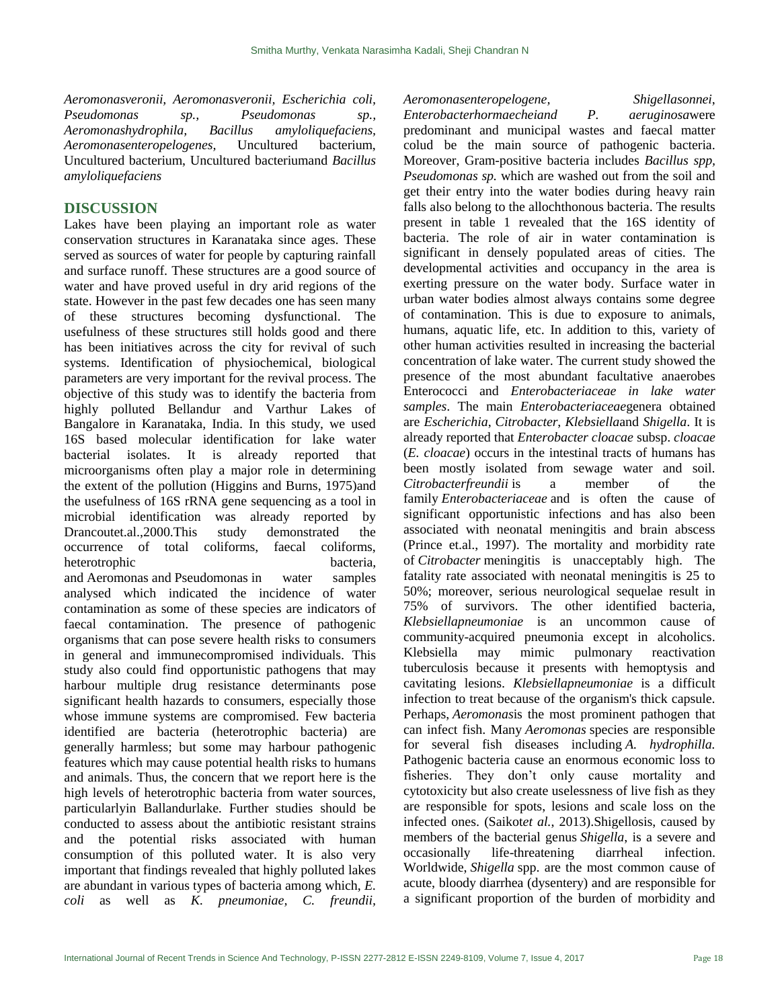*Aeromonasveronii, Aeromonasveronii, Escherichia coli, Pseudomonas sp., Pseudomonas sp., Aeromonashydrophila, Bacillus amyloliquefaciens, Aeromonasenteropelogenes,* Uncultured bacterium, Uncultured bacterium, Uncultured bacteriumand *Bacillus amyloliquefaciens*

#### **DISCUSSION**

Lakes have been playing an important role as water conservation structures in Karanataka since ages. These served as sources of water for people by capturing rainfall and surface runoff. These structures are a good source of water and have proved useful in dry arid regions of the state. However in the past few decades one has seen many of these structures becoming dysfunctional. The usefulness of these structures still holds good and there has been initiatives across the city for revival of such systems. Identification of physiochemical, biological parameters are very important for the revival process. The objective of this study was to identify the bacteria from highly polluted Bellandur and Varthur Lakes of Bangalore in Karanataka, India. In this study, we used 16S based molecular identification for lake water bacterial isolates. It is already reported that microorganisms often play a major role in determining the extent of the pollution (Higgins and Burns, 1975)and the usefulness of 16S rRNA gene sequencing as a tool in microbial identification was already reported by Drancoutet.al.,2000.This study demonstrated the occurrence of total coliforms, faecal coliforms, heterotrophic bacteria, and Aeromonas and Pseudomonas in water samples analysed which indicated the incidence of water contamination as some of these species are indicators of faecal contamination. The presence of pathogenic organisms that can pose severe health risks to consumers in general and immunecompromised individuals. This study also could find opportunistic pathogens that may harbour multiple drug resistance determinants pose significant health hazards to consumers, especially those whose immune systems are compromised. Few bacteria identified are bacteria (heterotrophic bacteria) are generally harmless; but some may harbour pathogenic features which may cause potential health risks to humans and animals. Thus, the concern that we report here is the high levels of heterotrophic bacteria from water sources, particularlyin Ballandurlake. Further studies should be conducted to assess about the antibiotic resistant strains and the potential risks associated with human consumption of this polluted water. It is also very important that findings revealed that highly polluted lakes are abundant in various types of bacteria among which, *E. coli* as well as *K. pneumoniae, C. freundii,*

#### *Aeromonasenteropelogene, Shigellasonnei*,

*Enterobacterhormaecheiand P. aeruginosa*were predominant and municipal wastes and faecal matter colud be the main source of pathogenic bacteria. Moreover, Gram-positive bacteria includes *Bacillus spp, Pseudomonas sp.* which are washed out from the soil and get their entry into the water bodies during heavy rain falls also belong to the allochthonous bacteria. The results present in table 1 revealed that the 16S identity of bacteria. The role of air in water contamination is significant in densely populated areas of cities. The developmental activities and occupancy in the area is exerting pressure on the water body. Surface water in urban water bodies almost always contains some degree of contamination. This is due to exposure to animals, humans, aquatic life, etc. In addition to this, variety of other human activities resulted in increasing the bacterial concentration of lake water. The current study showed the presence of the most abundant facultative anaerobes Enterococci and *Enterobacteriaceae in lake water samples*. The main *Enterobacteriaceae*genera obtained are *Escherichia*, *Citrobacter*, *Klebsiella*and *Shigella*. It is already reported that *Enterobacter cloacae* subsp. *cloacae*  (*E. cloacae*) occurs in the intestinal tracts of humans has been mostly isolated from sewage water and soil. *Citrobacterfreundii* is a member of the family *Enterobacteriaceae* and is often the cause of significant opportunistic infections and has also been associated with neonatal meningitis and brain abscess (Prince et.al., 1997). The mortality and morbidity rate of *Citrobacter* meningitis is unacceptably high. The fatality rate associated with neonatal meningitis is 25 to 50%; moreover, serious neurological sequelae result in 75% of survivors. The other identified bacteria, *Klebsiellapneumoniae* is an uncommon cause of community-acquired pneumonia except in alcoholics. Klebsiella may mimic pulmonary reactivation tuberculosis because it presents with hemoptysis and cavitating lesions. *Klebsiellapneumoniae* is a difficult infection to treat because of the organism's thick capsule. Perhaps, *Aeromonas*is the most prominent pathogen that can infect fish. Many *Aeromonas* species are responsible for several fish diseases including *A. hydrophilla.* Pathogenic bacteria cause an enormous economic loss to fisheries. They don't only cause mortality and cytotoxicity but also create uselessness of live fish as they are responsible for spots, lesions and scale loss on the infected ones. (Saikot*et al.*, 2013).Shigellosis, caused by members of the bacterial genus *Shigella*, is a severe and occasionally life-threatening diarrheal infection. Worldwide, *Shigella* spp. are the most common cause of acute, bloody diarrhea (dysentery) and are responsible for a significant proportion of the burden of morbidity and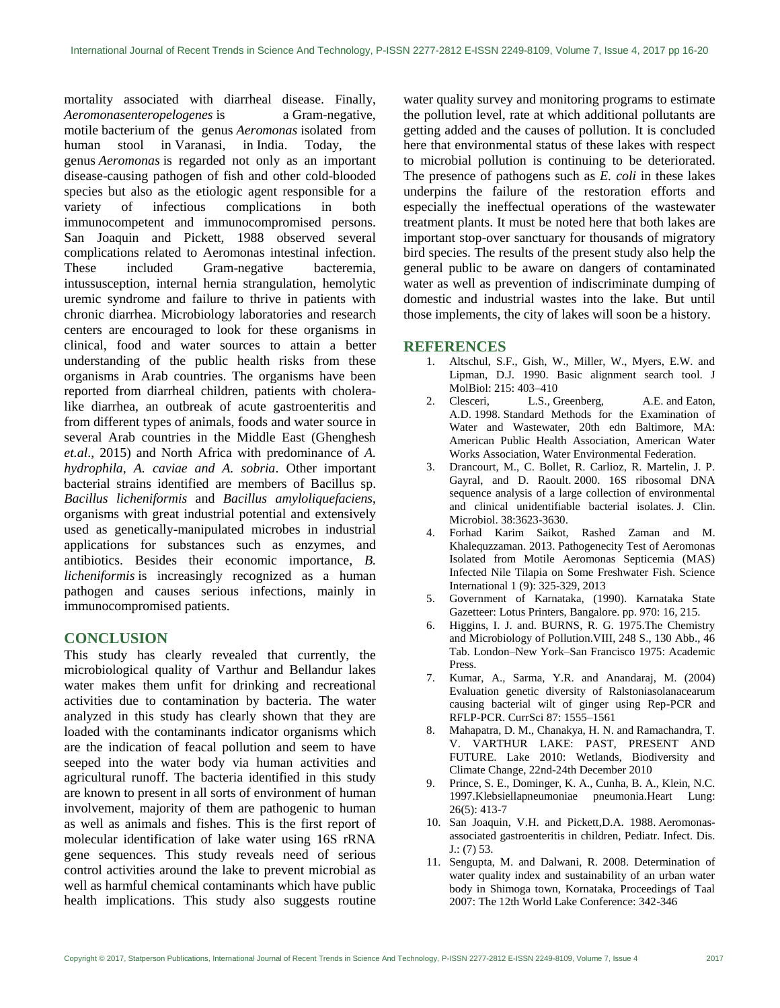mortality associated with diarrheal disease. Finally, *Aeromonasenteropelogenes* is a [Gram-negative,](https://en.wikipedia.org/wiki/Gram-negative) motile [bacterium](https://en.wikipedia.org/wiki/Bacterium) of the genus *[Aeromonas](https://en.wikipedia.org/wiki/Aeromonas)* isolated from human stool in [Varanasi,](https://en.wikipedia.org/wiki/Varanasi) in [India.](https://en.wikipedia.org/wiki/India) Today, the genus *Aeromonas* is regarded not only as an important disease-causing pathogen of fish and other cold-blooded species but also as the etiologic agent responsible for a variety of infectious complications in both immunocompetent and immunocompromised persons. San Joaquin and Pickett, 1988 observed several complications related to Aeromonas intestinal infection. These included Gram-negative bacteremia, intussusception, internal hernia strangulation, hemolytic uremic syndrome and failure to thrive in patients with chronic diarrhea. Microbiology laboratories and research centers are encouraged to look for these organisms in clinical, food and water sources to attain a better understanding of the public health risks from these organisms in Arab countries. The organisms have been reported from diarrheal children, patients with choleralike diarrhea, an outbreak of acute gastroenteritis and from different types of animals, foods and water source in several Arab countries in the Middle East (Ghenghesh *et.al*., 2015) and North Africa with predominance of *A. hydrophila, A. caviae and A. sobria*. Other important bacterial strains identified are members of Bacillus sp. *Bacillus licheniformis* and *Bacillus amyloliquefaciens*, organisms with great industrial potential and extensively used as genetically-manipulated microbes in industrial applications for substances such as enzymes, and antibiotics. Besides their economic importance, *B. licheniformis* is increasingly recognized as a human pathogen and causes serious infections, mainly in immunocompromised patients.

# **CONCLUSION**

This study has clearly revealed that currently, the microbiological quality of Varthur and Bellandur lakes water makes them unfit for drinking and recreational activities due to contamination by bacteria. The water analyzed in this study has clearly shown that they are loaded with the contaminants indicator organisms which are the indication of feacal pollution and seem to have seeped into the water body via human activities and agricultural runoff. The bacteria identified in this study are known to present in all sorts of environment of human involvement, majority of them are pathogenic to human as well as animals and fishes. This is the first report of molecular identification of lake water using 16S rRNA gene sequences. This study reveals need of serious control activities around the lake to prevent microbial as well as harmful chemical contaminants which have public health implications. This study also suggests routine water quality survey and monitoring programs to estimate the pollution level, rate at which additional pollutants are getting added and the causes of pollution. It is concluded here that environmental status of these lakes with respect to microbial pollution is continuing to be deteriorated. The presence of pathogens such as *E. coli* in these lakes underpins the failure of the restoration efforts and especially the ineffectual operations of the wastewater treatment plants. It must be noted here that both lakes are important stop-over sanctuary for thousands of migratory bird species. The results of the present study also help the general public to be aware on dangers of contaminated water as well as prevention of indiscriminate dumping of domestic and industrial wastes into the lake. But until those implements, the city of lakes will soon be a history.

#### **REFERENCES**

- 1. Altschul, S.F., Gish, W., Miller, W., Myers, E.W. and Lipman, D.J. 1990. Basic alignment search tool. J MolBiol: 215: 403–410
- 2. Clesceri, L.S., Greenberg, A.E. and Eaton, A.D. 1998. Standard Methods for the Examination of Water and Wastewater, 20th edn Baltimore, MA: American Public Health Association, American Water Works Association, Water Environmental Federation.
- 3. Drancourt, M., C. Bollet, R. Carlioz, R. Martelin, J. P. Gayral, and D. Raoult. 2000. 16S ribosomal DNA sequence analysis of a large collection of environmental and clinical unidentifiable bacterial isolates. J. Clin. Microbiol. 38:3623-3630.
- 4. Forhad Karim Saikot, Rashed Zaman and M. Khalequzzaman. 2013. Pathogenecity Test of Aeromonas Isolated from Motile Aeromonas Septicemia (MAS) Infected Nile Tilapia on Some Freshwater Fish. Science International 1 (9): 325-329, 2013
- 5. Government of Karnataka, (1990). Karnataka State Gazetteer: Lotus Printers, Bangalore. pp. 970: 16, 215.
- 6. Higgins, I. J. and. BURNS, R. G. 1975.The Chemistry and Microbiology of Pollution.VIII, 248 S., 130 Abb., 46 Tab. London–New York–San Francisco 1975: Academic Press.
- 7. Kumar, A., Sarma, Y.R. and Anandaraj, M. (2004) Evaluation genetic diversity of Ralstoniasolanacearum causing bacterial wilt of ginger using Rep-PCR and RFLP-PCR. CurrSci 87: 1555–1561
- 8. Mahapatra, D. M., Chanakya, H. N. and Ramachandra, T. V. VARTHUR LAKE: PAST, PRESENT AND FUTURE. Lake 2010: Wetlands, Biodiversity and Climate Change, 22nd-24th December 2010
- 9. Prince, S. E., Dominger, K. A., Cunha, B. A., Klein, N.C. 1997[.Klebsiellapneumoniae pneumonia.H](https://www.ncbi.nlm.nih.gov/pubmed/9315470)eart Lung: 26(5): 413-7
- 10. San Joaquin, V.H. and Pickett,D.A. 1988. Aeromonasassociated gastroenteritis in children, Pediatr. Infect. Dis.  $J$ .: (7) 53.
- 11. Sengupta, M. and Dalwani, R. 2008. Determination of water quality index and sustainability of an urban water body in Shimoga town, Kornataka, Proceedings of Taal 2007: The 12th World Lake Conference: 342-346